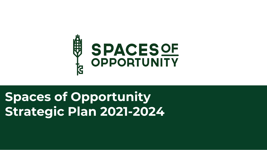## **Spaces of Opportunity Strategic Plan 2021-2024**



# **SPACESOF**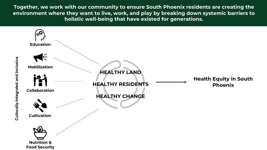**Together, we work with our community to ensure South Phoenix residents are creating the environment where they want to live, work, and play by breaking down systemic barriers to holistic well-being that have existed for generations.**



#### **Health Equity in South Phoenix**

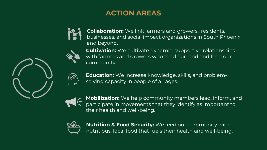## **ACTION AREAS**









**Education:** We increase knowledge, skills, and problemsolving capacity in people of all ages.



**Mobilization:** We help community members lead, inform, and participate in movements that they identify as important to their health and well-being.



**Collaboration:** We link farmers and growers,, residents, businesses, and social impact organizations in South Phoenix and beyond.

**Cultivation:** We cultivate dynamic, supportive relationships with farmers and growers who tend our land and feed our community.

**Nutrition & Food Security:** We feed our community with nutritious, local food that fuels their health and well-being.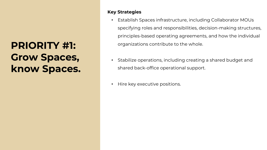## **PRIORITY #1: Grow Spaces, know Spaces.**

#### **Key Strategies**

- -
	-
	-
	-
- 

• Establish Spaces infrastructure, including Collaborator MOUs specifying roles and responsibilities, decision-making structures, principles-based operating agreements, and how the individual organizations contribute to the whole.

• Stabilize operations, including creating a shared budget and shared back-office operational support.

• Hire key executive positions.

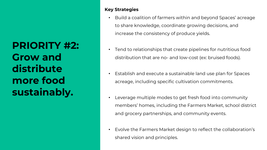## **Key Strategies**

- -
- 
- -
- -
	-
- 

• Build a coalition of farmers within and beyond Spaces' acreage to share knowledge, coordinate growing decisions, and increase the consistency of produce yields.

• Tend to relationships that create pipelines for nutritious food distribution that are no- and low-cost (ex: bruised foods).

• Establish and execute a sustainable land use plan for Spaces acreage, including specific cultivation commitments.

• Leverage multiple modes to get fresh food into community members' homes, including the Farmers Market, school district and grocery partnerships, and community events.

• Evolve the Farmers Market design to reflect the collaboration's shared vision and principles.



## **PRIORITY #2: Grow and distribute more food sustainably.**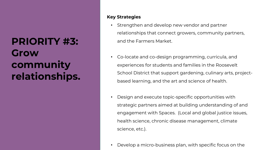## **PRIORITY #3: Grow community relationships.**

### **Key Strategies**

- -
	-
- -
	-
	-
- -
	-
	-
	-
- 

Strengthen and develop new vendor and partner relationships that connect growers, community partners, and the Farmers Market.

• Co-locate and co-design programming, curricula, and experiences for students and families in the Roosevelt School District that support gardening, culinary arts, projectbased learning, and the art and science of health.

Design and execute topic-specific opportunities with strategic partners aimed at building understanding of and engagement with Spaces. (Local and global justice issues, health science, chronic disease management, climate science, etc.).

Develop a micro-business plan, with specific focus on the